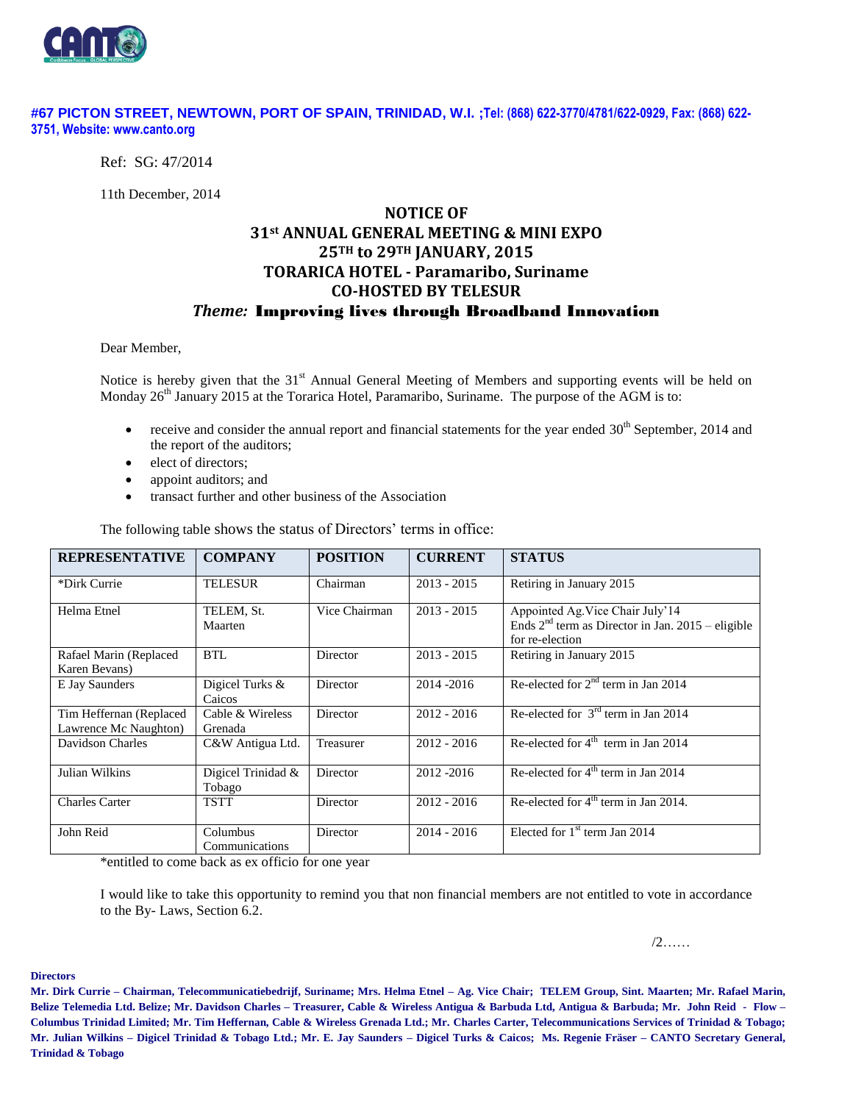

#### **#67 PICTON STREET, NEWTOWN, PORT OF SPAIN, TRINIDAD, W.I. ;Tel: (868) 622-3770/4781/622-0929, Fax: (868) 622- 3751, Website: www.canto.org**

Ref: SG: 47/2014

11th December, 2014

# **NOTICE OF 31st ANNUAL GENERAL MEETING & MINI EXPO 25TH to 29TH JANUARY, 2015 TORARICA HOTEL - Paramaribo, Suriname CO-HOSTED BY TELESUR** *Theme:* Improving lives through Broadband Innovation

Dear Member,

Notice is hereby given that the 31<sup>st</sup> Annual General Meeting of Members and supporting events will be held on Monday 26<sup>th</sup> January 2015 at the Torarica Hotel, Paramaribo, Suriname. The purpose of the AGM is to:

- receive and consider the annual report and financial statements for the year ended 30<sup>th</sup> September, 2014 and the report of the auditors;
- elect of directors;
- appoint auditors; and
- transact further and other business of the Association

| <b>REPRESENTATIVE</b>                            | <b>COMPANY</b>               | <b>POSITION</b> | <b>CURRENT</b> | <b>STATUS</b>                                                                                              |
|--------------------------------------------------|------------------------------|-----------------|----------------|------------------------------------------------------------------------------------------------------------|
| *Dirk Currie                                     | <b>TELESUR</b>               | Chairman        | $2013 - 2015$  | Retiring in January 2015                                                                                   |
| Helma Etnel                                      | TELEM, St.<br>Maarten        | Vice Chairman   | $2013 - 2015$  | Appointed Ag. Vice Chair July'14<br>Ends $2nd$ term as Director in Jan. 2015 – eligible<br>for re-election |
| Rafael Marin (Replaced<br>Karen Bevans)          | BTL                          | Director        | $2013 - 2015$  | Retiring in January 2015                                                                                   |
| E Jay Saunders                                   | Digicel Turks &<br>Caicos    | Director        | 2014-2016      | Re-elected for $2nd$ term in Jan 2014                                                                      |
| Tim Heffernan (Replaced<br>Lawrence Mc Naughton) | Cable & Wireless<br>Grenada  | Director        | $2012 - 2016$  | Re-elected for $3rd$ term in Jan 2014                                                                      |
| Davidson Charles                                 | C&W Antigua Ltd.             | Treasurer       | $2012 - 2016$  | Re-elected for $4th$ term in Jan 2014                                                                      |
| Julian Wilkins                                   | Digicel Trinidad &<br>Tobago | Director        | 2012 - 2016    | Re-elected for $4th$ term in Jan 2014                                                                      |
| Charles Carter                                   | <b>TSTT</b>                  | Director        | $2012 - 2016$  | Re-elected for $4th$ term in Jan 2014.                                                                     |
| John Reid                                        | Columbus<br>Communications   | Director        | $2014 - 2016$  | Elected for $1st$ term Jan 2014                                                                            |

The following table shows the status of Directors' terms in office:

\*entitled to come back as ex officio for one year

I would like to take this opportunity to remind you that non financial members are not entitled to vote in accordance to the By- Laws, Section 6.2.

/2……

**Directors**

**Mr. Dirk Currie – Chairman, Telecommunicatiebedrijf, Suriname; Mrs. Helma Etnel – Ag. Vice Chair; TELEM Group, Sint. Maarten; Mr. Rafael Marin, Belize Telemedia Ltd. Belize; Mr. Davidson Charles – Treasurer, Cable & Wireless Antigua & Barbuda Ltd, Antigua & Barbuda; Mr. John Reid - Flow – Columbus Trinidad Limited; Mr. Tim Heffernan, Cable & Wireless Grenada Ltd.; Mr. Charles Carter, Telecommunications Services of Trinidad & Tobago; Mr. Julian Wilkins – Digicel Trinidad & Tobago Ltd.; Mr. E. Jay Saunders – Digicel Turks & Caicos; Ms. Regenie Fräser – CANTO Secretary General, Trinidad & Tobago**